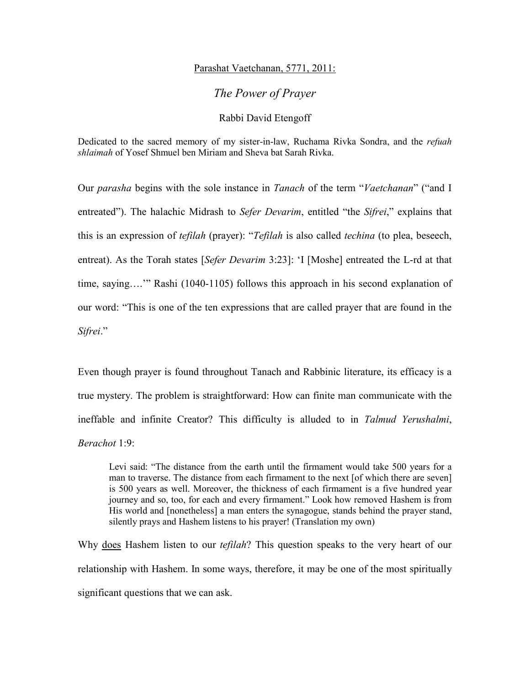## Parashat Vaetchanan, 5771, 2011:

*The Power of Prayer* 

## Rabbi David Etengoff

Dedicated to the sacred memory of my sister-in-law, Ruchama Rivka Sondra, and the *refuah shlaimah* of Yosef Shmuel ben Miriam and Sheva bat Sarah Rivka.

Our *parasha* begins with the sole instance in *Tanach* of the term "*Vaetchanan*" ("and I entreated"). The halachic Midrash to *Sefer Devarim*, entitled "the *Sifrei*," explains that this is an expression of *tefilah* (prayer): "*Tefilah* is also called *techina* (to plea, beseech, entreat). As the Torah states [*Sefer Devarim* 3:23]: 'I [Moshe] entreated the L-rd at that time, saying….'" Rashi (1040-1105) follows this approach in his second explanation of our word: "This is one of the ten expressions that are called prayer that are found in the *Sifrei*."

Even though prayer is found throughout Tanach and Rabbinic literature, its efficacy is a true mystery. The problem is straightforward: How can finite man communicate with the ineffable and infinite Creator? This difficulty is alluded to in *Talmud Yerushalmi*, *Berachot* 1:9:

Levi said: "The distance from the earth until the firmament would take 500 years for a man to traverse. The distance from each firmament to the next [of which there are seven] is 500 years as well. Moreover, the thickness of each firmament is a five hundred year journey and so, too, for each and every firmament." Look how removed Hashem is from His world and [nonetheless] a man enters the synagogue, stands behind the prayer stand, silently prays and Hashem listens to his prayer! (Translation my own)

Why does Hashem listen to our *tefilah*? This question speaks to the very heart of our relationship with Hashem. In some ways, therefore, it may be one of the most spiritually significant questions that we can ask.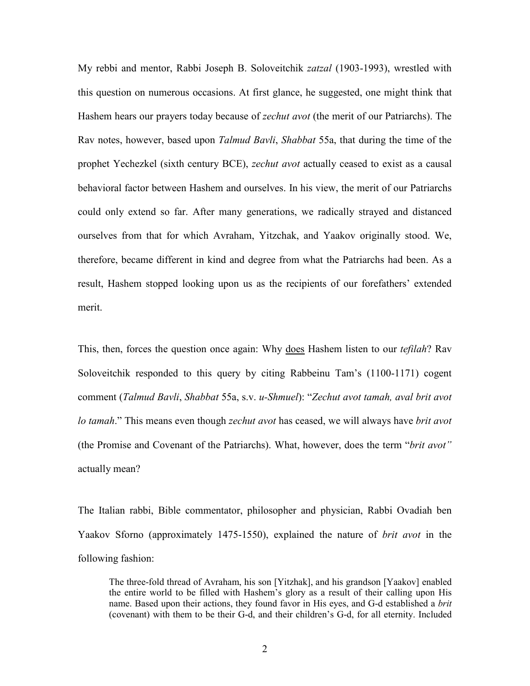My rebbi and mentor, Rabbi Joseph B. Soloveitchik *zatzal* (1903-1993), wrestled with this question on numerous occasions. At first glance, he suggested, one might think that Hashem hears our prayers today because of *zechut avot* (the merit of our Patriarchs). The Rav notes, however, based upon *Talmud Bavli*, *Shabbat* 55a, that during the time of the prophet Yechezkel (sixth century BCE), *zechut avot* actually ceased to exist as a causal behavioral factor between Hashem and ourselves. In his view, the merit of our Patriarchs could only extend so far. After many generations, we radically strayed and distanced ourselves from that for which Avraham, Yitzchak, and Yaakov originally stood. We, therefore, became different in kind and degree from what the Patriarchs had been. As a result, Hashem stopped looking upon us as the recipients of our forefathers' extended merit.

This, then, forces the question once again: Why does Hashem listen to our *tefilah*? Rav Soloveitchik responded to this query by citing Rabbeinu Tam's (1100-1171) cogent comment (*Talmud Bavli*, *Shabbat* 55a, s.v. *u-Shmuel*): "*Zechut avot tamah, aval brit avot lo tamah*." This means even though *zechut avot* has ceased, we will always have *brit avot* (the Promise and Covenant of the Patriarchs). What, however, does the term "*brit avot"*  actually mean?

The Italian rabbi, Bible commentator, philosopher and physician, Rabbi Ovadiah ben Yaakov Sforno (approximately 1475-1550), explained the nature of *brit avot* in the following fashion:

The three-fold thread of Avraham, his son [Yitzhak], and his grandson [Yaakov] enabled the entire world to be filled with Hashem's glory as a result of their calling upon His name. Based upon their actions, they found favor in His eyes, and G-d established a *brit*  (covenant) with them to be their G-d, and their children's G-d, for all eternity. Included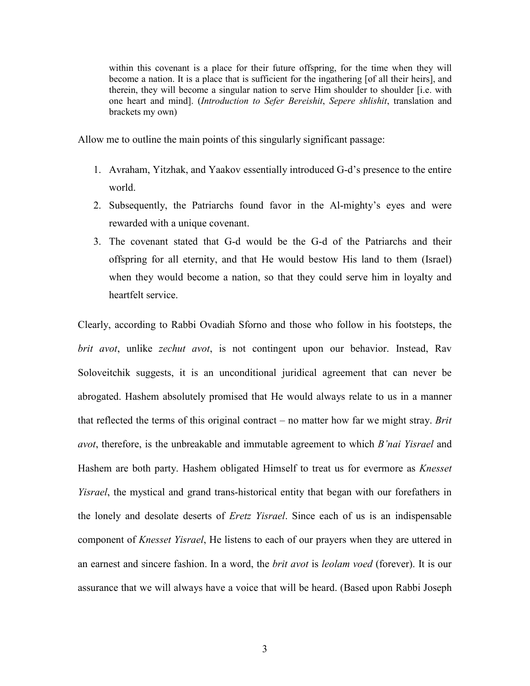within this covenant is a place for their future offspring, for the time when they will become a nation. It is a place that is sufficient for the ingathering [of all their heirs], and therein, they will become a singular nation to serve Him shoulder to shoulder [i.e. with one heart and mind]. (*Introduction to Sefer Bereishit*, *Sepere shlishit*, translation and brackets my own)

Allow me to outline the main points of this singularly significant passage:

- 1. Avraham, Yitzhak, and Yaakov essentially introduced G-d's presence to the entire world.
- 2. Subsequently, the Patriarchs found favor in the Al-mighty's eyes and were rewarded with a unique covenant.
- 3. The covenant stated that G-d would be the G-d of the Patriarchs and their offspring for all eternity, and that He would bestow His land to them (Israel) when they would become a nation, so that they could serve him in loyalty and heartfelt service.

Clearly, according to Rabbi Ovadiah Sforno and those who follow in his footsteps, the *brit avot*, unlike *zechut avot*, is not contingent upon our behavior. Instead, Rav Soloveitchik suggests, it is an unconditional juridical agreement that can never be abrogated. Hashem absolutely promised that He would always relate to us in a manner that reflected the terms of this original contract – no matter how far we might stray. *Brit avot*, therefore, is the unbreakable and immutable agreement to which *B'nai Yisrael* and Hashem are both party. Hashem obligated Himself to treat us for evermore as *Knesset Yisrael*, the mystical and grand trans-historical entity that began with our forefathers in the lonely and desolate deserts of *Eretz Yisrael*. Since each of us is an indispensable component of *Knesset Yisrael*, He listens to each of our prayers when they are uttered in an earnest and sincere fashion. In a word, the *brit avot* is *leolam voed* (forever). It is our assurance that we will always have a voice that will be heard. (Based upon Rabbi Joseph